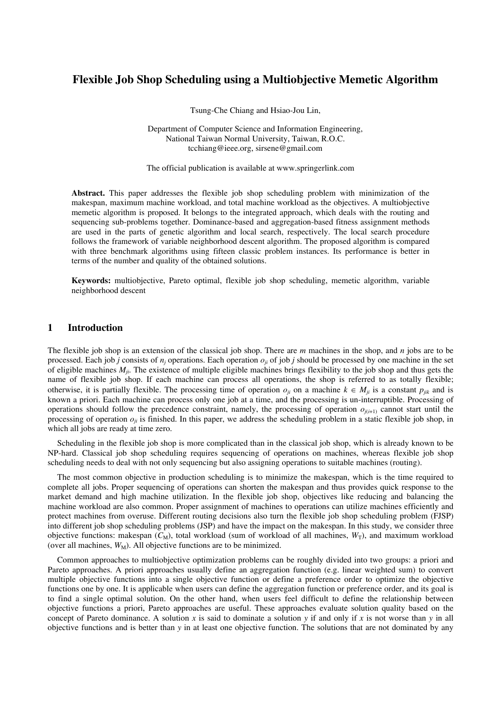# **Flexible Job Shop Scheduling using a Multiobjective Memetic Algorithm**

Tsung-Che Chiang and Hsiao-Jou Lin,

Department of Computer Science and Information Engineering, National Taiwan Normal University, Taiwan, R.O.C. tcchiang@ieee.org, sirsene@gmail.com

The official publication is available at www.springerlink.com

**Abstract.** This paper addresses the flexible job shop scheduling problem with minimization of the makespan, maximum machine workload, and total machine workload as the objectives. A multiobjective memetic algorithm is proposed. It belongs to the integrated approach, which deals with the routing and sequencing sub-problems together. Dominance-based and aggregation-based fitness assignment methods are used in the parts of genetic algorithm and local search, respectively. The local search procedure follows the framework of variable neighborhood descent algorithm. The proposed algorithm is compared with three benchmark algorithms using fifteen classic problem instances. Its performance is better in terms of the number and quality of the obtained solutions.

**Keywords:** multiobjective, Pareto optimal, flexible job shop scheduling, memetic algorithm, variable neighborhood descent

## **1 Introduction**

The flexible job shop is an extension of the classical job shop. There are *m* machines in the shop, and *n* jobs are to be processed. Each job *j* consists of  $n_i$  operations. Each operation  $o_{ij}$  of job *j* should be processed by one machine in the set of eligible machines *Mji*. The existence of multiple eligible machines brings flexibility to the job shop and thus gets the name of flexible job shop. If each machine can process all operations, the shop is referred to as totally flexible; otherwise, it is partially flexible. The processing time of operation  $o_{ji}$  on a machine  $k \in M_{ji}$  is a constant  $p_{ijk}$  and is known a priori. Each machine can process only one job at a time, and the processing is un-interruptible. Processing of operations should follow the precedence constraint, namely, the processing of operation  $o_{j(i+1)}$  cannot start until the processing of operation  $o_{ij}$  is finished. In this paper, we address the scheduling problem in a static flexible job shop, in which all jobs are ready at time zero.

Scheduling in the flexible job shop is more complicated than in the classical job shop, which is already known to be NP-hard. Classical job shop scheduling requires sequencing of operations on machines, whereas flexible job shop scheduling needs to deal with not only sequencing but also assigning operations to suitable machines (routing).

The most common objective in production scheduling is to minimize the makespan, which is the time required to complete all jobs. Proper sequencing of operations can shorten the makespan and thus provides quick response to the market demand and high machine utilization. In the flexible job shop, objectives like reducing and balancing the machine workload are also common. Proper assignment of machines to operations can utilize machines efficiently and protect machines from overuse. Different routing decisions also turn the flexible job shop scheduling problem (FJSP) into different job shop scheduling problems (JSP) and have the impact on the makespan. In this study, we consider three objective functions: makespan  $(C_M)$ , total workload (sum of workload of all machines,  $W_T$ ), and maximum workload (over all machines,  $W_M$ ). All objective functions are to be minimized.

Common approaches to multiobjective optimization problems can be roughly divided into two groups: a priori and Pareto approaches. A priori approaches usually define an aggregation function (e.g. linear weighted sum) to convert multiple objective functions into a single objective function or define a preference order to optimize the objective functions one by one. It is applicable when users can define the aggregation function or preference order, and its goal is to find a single optimal solution. On the other hand, when users feel difficult to define the relationship between objective functions a priori, Pareto approaches are useful. These approaches evaluate solution quality based on the concept of Pareto dominance. A solution *x* is said to dominate a solution *y* if and only if *x* is not worse than *y* in all objective functions and is better than *y* in at least one objective function. The solutions that are not dominated by any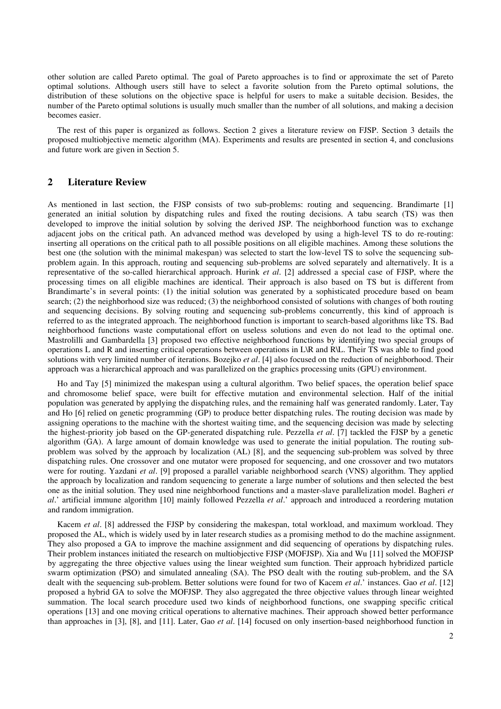other solution are called Pareto optimal. The goal of Pareto approaches is to find or approximate the set of Pareto optimal solutions. Although users still have to select a favorite solution from the Pareto optimal solutions, the distribution of these solutions on the objective space is helpful for users to make a suitable decision. Besides, the number of the Pareto optimal solutions is usually much smaller than the number of all solutions, and making a decision becomes easier.

The rest of this paper is organized as follows. Section 2 gives a literature review on FJSP. Section 3 details the proposed multiobjective memetic algorithm (MA). Experiments and results are presented in section 4, and conclusions and future work are given in Section 5.

## **2 Literature Review**

As mentioned in last section, the FJSP consists of two sub-problems: routing and sequencing. Brandimarte [1] generated an initial solution by dispatching rules and fixed the routing decisions. A tabu search (TS) was then developed to improve the initial solution by solving the derived JSP. The neighborhood function was to exchange adjacent jobs on the critical path. An advanced method was developed by using a high-level TS to do re-routing: inserting all operations on the critical path to all possible positions on all eligible machines. Among these solutions the best one (the solution with the minimal makespan) was selected to start the low-level TS to solve the sequencing subproblem again. In this approach, routing and sequencing sub-problems are solved separately and alternatively. It is a representative of the so-called hierarchical approach. Hurink *et al*. [2] addressed a special case of FJSP, where the processing times on all eligible machines are identical. Their approach is also based on TS but is different from Brandimarte's in several points: (1) the initial solution was generated by a sophisticated procedure based on beam search; (2) the neighborhood size was reduced; (3) the neighborhood consisted of solutions with changes of both routing and sequencing decisions. By solving routing and sequencing sub-problems concurrently, this kind of approach is referred to as the integrated approach. The neighborhood function is important to search-based algorithms like TS. Bad neighborhood functions waste computational effort on useless solutions and even do not lead to the optimal one. Mastrolilli and Gambardella [3] proposed two effective neighborhood functions by identifying two special groups of operations L and R and inserting critical operations between operations in L\R and R\L. Their TS was able to find good solutions with very limited number of iterations. Bozejko *et al*. [4] also focused on the reduction of neighborhood. Their approach was a hierarchical approach and was parallelized on the graphics processing units (GPU) environment.

Ho and Tay [5] minimized the makespan using a cultural algorithm. Two belief spaces, the operation belief space and chromosome belief space, were built for effective mutation and environmental selection. Half of the initial population was generated by applying the dispatching rules, and the remaining half was generated randomly. Later, Tay and Ho [6] relied on genetic programming (GP) to produce better dispatching rules. The routing decision was made by assigning operations to the machine with the shortest waiting time, and the sequencing decision was made by selecting the highest-priority job based on the GP-generated dispatching rule. Pezzella *et al*. [7] tackled the FJSP by a genetic algorithm (GA). A large amount of domain knowledge was used to generate the initial population. The routing subproblem was solved by the approach by localization (AL) [8], and the sequencing sub-problem was solved by three dispatching rules. One crossover and one mutator were proposed for sequencing, and one crossover and two mutators were for routing. Yazdani *et al*. [9] proposed a parallel variable neighborhood search (VNS) algorithm. They applied the approach by localization and random sequencing to generate a large number of solutions and then selected the best one as the initial solution. They used nine neighborhood functions and a master-slave parallelization model. Bagheri *et al*.'artificial immune algorithm [10] mainly followed Pezzella *et al*.'approach and introduced a reordering mutation and random immigration.

Kacem *et al*. [8] addressed the FJSP by considering the makespan, total workload, and maximum workload. They proposed the AL, which is widely used by in later research studies as a promising method to do the machine assignment. They also proposed a GA to improve the machine assignment and did sequencing of operations by dispatching rules. Their problem instances initiated the research on multiobjective FJSP (MOFJSP). Xia and Wu [11] solved the MOFJSP by aggregating the three objective values using the linear weighted sum function. Their approach hybridized particle swarm optimization (PSO) and simulated annealing (SA). The PSO dealt with the routing sub-problem, and the SA dealt with the sequencing sub-problem. Better solutions were found for two of Kacem *et al*.'instances. Gao *et al*. [12] proposed a hybrid GA to solve the MOFJSP. They also aggregated the three objective values through linear weighted summation. The local search procedure used two kinds of neighborhood functions, one swapping specific critical operations [13] and one moving critical operations to alternative machines. Their approach showed better performance than approaches in [3], [8], and [11]. Later, Gao *et al*. [14] focused on only insertion-based neighborhood function in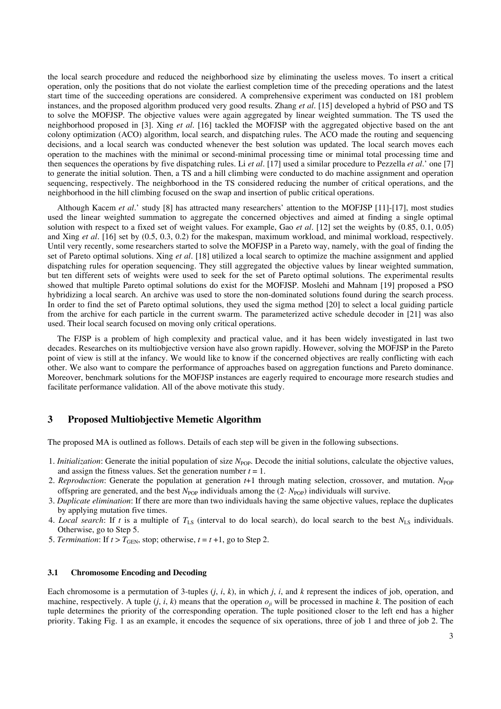the local search procedure and reduced the neighborhood size by eliminating the useless moves. To insert a critical operation, only the positions that do not violate the earliest completion time of the preceding operations and the latest start time of the succeeding operations are considered. A comprehensive experiment was conducted on 181 problem instances, and the proposed algorithm produced very good results. Zhang *et al*. [15] developed a hybrid of PSO and TS to solve the MOFJSP. The objective values were again aggregated by linear weighted summation. The TS used the neighborhood proposed in [3]. Xing *et al*. [16] tackled the MOFJSP with the aggregated objective based on the ant colony optimization (ACO) algorithm, local search, and dispatching rules. The ACO made the routing and sequencing decisions, and a local search was conducted whenever the best solution was updated. The local search moves each operation to the machines with the minimal or second-minimal processing time or minimal total processing time and then sequences the operations by five dispatching rules. Li *et al*. [17] used a similar procedure to Pezzella *et al*.'one [7] to generate the initial solution. Then, a TS and a hill climbing were conducted to do machine assignment and operation sequencing, respectively. The neighborhood in the TS considered reducing the number of critical operations, and the neighborhood in the hill climbing focused on the swap and insertion of public critical operations.

Although Kacem *et al.*' study [8] has attracted many researchers' attention to the MOFJSP [11]-[17], most studies used the linear weighted summation to aggregate the concerned objectives and aimed at finding a single optimal solution with respect to a fixed set of weight values. For example, Gao *et al*. [12] set the weights by (0.85, 0.1, 0.05) and Xing *et al*. [16] set by (0.5, 0.3, 0.2) for the makespan, maximum workload, and minimal workload, respectively. Until very recently, some researchers started to solve the MOFJSP in a Pareto way, namely, with the goal of finding the set of Pareto optimal solutions. Xing *et al*. [18] utilized a local search to optimize the machine assignment and applied dispatching rules for operation sequencing. They still aggregated the objective values by linear weighted summation, but ten different sets of weights were used to seek for the set of Pareto optimal solutions. The experimental results showed that multiple Pareto optimal solutions do exist for the MOFJSP. Moslehi and Mahnam [19] proposed a PSO hybridizing a local search. An archive was used to store the non-dominated solutions found during the search process. In order to find the set of Pareto optimal solutions, they used the sigma method [20] to select a local guiding particle from the archive for each particle in the current swarm. The parameterized active schedule decoder in [21] was also used. Their local search focused on moving only critical operations.

The FJSP is a problem of high complexity and practical value, and it has been widely investigated in last two decades. Researches on its multiobjective version have also grown rapidly. However, solving the MOFJSP in the Pareto point of view is still at the infancy. We would like to know if the concerned objectives are really conflicting with each other. We also want to compare the performance of approaches based on aggregation functions and Pareto dominance. Moreover, benchmark solutions for the MOFJSP instances are eagerly required to encourage more research studies and facilitate performance validation. All of the above motivate this study.

# **3 Proposed Multiobjective Memetic Algorithm**

The proposed MA is outlined as follows. Details of each step will be given in the following subsections.

- 1. *Initialization*: Generate the initial population of size N<sub>POP</sub>. Decode the initial solutions, calculate the objective values, and assign the fitness values. Set the generation number  $t = 1$ .
- 2. *Reproduction*: Generate the population at generation  $t+1$  through mating selection, crossover, and mutation. *N*<sub>POP</sub> offspring are generated, and the best  $N_{\text{POP}}$  individuals among the (2 $N_{\text{POP}}$ ) individuals will survive.
- 3. *Duplicate elimination*: If there are more than two individuals having the same objective values, replace the duplicates by applying mutation five times.
- 4. *Local search*: If *t* is a multiple of  $T_{LS}$  (interval to do local search), do local search to the best  $N_{LS}$  individuals. Otherwise, go to Step 5.
- 5. *Termination*: If  $t > T_{\text{GEN}}$ , stop; otherwise,  $t = t + 1$ , go to Step 2.

#### **3.1 Chromosome Encoding and Decoding**

Each chromosome is a permutation of 3-tuples  $(j, i, k)$ , in which  $j$ ,  $i$ , and  $k$  represent the indices of job, operation, and machine, respectively. A tuple  $(j, i, k)$  means that the operation  $o_{ji}$  will be processed in machine  $k$ . The position of each tuple determines the priority of the corresponding operation. The tuple positioned closer to the left end has a higher priority. Taking Fig. 1 as an example, it encodes the sequence of six operations, three of job 1 and three of job 2. The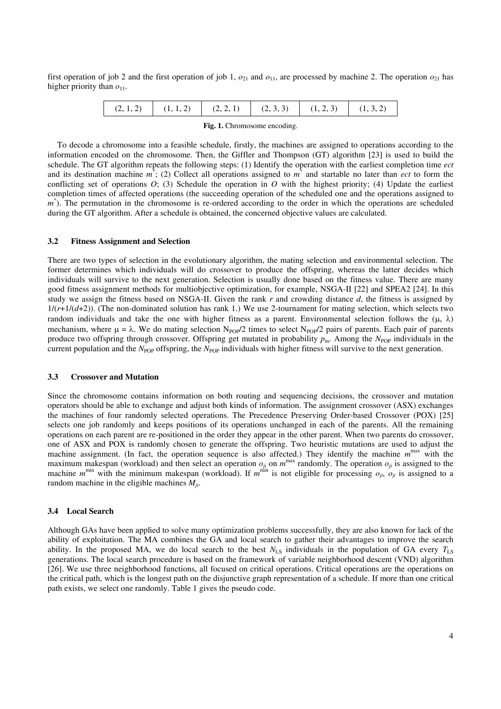first operation of job 2 and the first operation of job 1,  $o_{21}$  and  $o_{11}$ , are processed by machine 2. The operation  $o_{21}$  has higher priority than  $o_{11}$ .

|  | $(2,1,2)$ $(1,1,2)$ $(2,2,1)$ $(2,3,3)$ $(1,2,3)$ $(1,3,2)$ |  |  |
|--|-------------------------------------------------------------|--|--|
|  |                                                             |  |  |

**Fig. 1.** Chromosome encoding.

To decode a chromosome into a feasible schedule, firstly, the machines are assigned to operations according to the information encoded on the chromosome. Then, the Giffler and Thompson (GT) algorithm [23] is used to build the schedule. The GT algorithm repeats the following steps: (1) Identify the operation with the earliest completion time *ect* and its destination machine  $m^*$ ; (2) Collect all operations assigned to  $m^*$  and startable no later than *ect* to form the conflicting set of operations  $O$ ; (3) Schedule the operation in  $O$  with the highest priority; (4) Update the earliest completion times of affected operations (the succeeding operation of the scheduled one and the operations assigned to  $m^*$ ). The permutation in the chromosome is re-ordered according to the order in which the operations are scheduled during the GT algorithm. After a schedule is obtained, the concerned objective values are calculated.

#### **3.2 Fitness Assignment and Selection**

There are two types of selection in the evolutionary algorithm, the mating selection and environmental selection. The former determines which individuals will do crossover to produce the offspring, whereas the latter decides which individuals will survive to the next generation. Selection is usually done based on the fitness value. There are many good fitness assignment methods for multiobjective optimization, for example, NSGA-II [22] and SPEA2 [24]. In this study we assign the fitness based on NSGA-II. Given the rank *r* and crowding distance *d*, the fitness is assigned by  $1/(r+1/(d+2))$ . (The non-dominated solution has rank 1.) We use 2-tournament for mating selection, which selects two random individuals and take the one with higher fitness as a parent. Environmental selection follows the  $(\mu, \lambda)$ mechanism, where  $\mu = \lambda$ . We do mating selection N<sub>POP</sub>/2 times to select N<sub>POP</sub>/2 pairs of parents. Each pair of parents produce two offspring through crossover. Offspring get mutated in probability  $p_m$ . Among the *N*<sub>POP</sub> individuals in the current population and the  $N_{\text{POP}}$  offspring, the  $N_{\text{POP}}$  individuals with higher fitness will survive to the next generation.

#### **3.3 Crossover and Mutation**

Since the chromosome contains information on both routing and sequencing decisions, the crossover and mutation operators should be able to exchange and adjust both kinds of information. The assignment crossover (ASX) exchanges the machines of four randomly selected operations. The Precedence Preserving Order-based Crossover (POX) [25] selects one job randomly and keeps positions of its operations unchanged in each of the parents. All the remaining operations on each parent are re-positioned in the order they appear in the other parent. When two parents do crossover, one of ASX and POX is randomly chosen to generate the offspring. Two heuristic mutations are used to adjust the machine assignment. (In fact, the operation sequence is also affected.) They identify the machine  $m^{max}$  with the maximum makespan (workload) and then select an operation  $o_{ji}$  on  $m^{max}$  randomly. The operation  $o_{ji}$  is assigned to the machine  $m^{min}$  with the minimum makespan (workload). If  $m^{min}$  is not eligible for processing  $o_{ji}$ ,  $o_{ji}$  is assigned to a random machine in the eligible machines *Mji*.

### **3.4 Local Search**

Although GAs have been applied to solve many optimization problems successfully, they are also known for lack of the ability of exploitation. The MA combines the GA and local search to gather their advantages to improve the search ability. In the proposed MA, we do local search to the best  $N_{LS}$  individuals in the population of GA every  $T_{LS}$ generations. The local search procedure is based on the framework of variable neighborhood descent (VND) algorithm [26]. We use three neighborhood functions, all focused on critical operations. Critical operations are the operations on the critical path, which is the longest path on the disjunctive graph representation of a schedule. If more than one critical path exists, we select one randomly. Table 1 gives the pseudo code.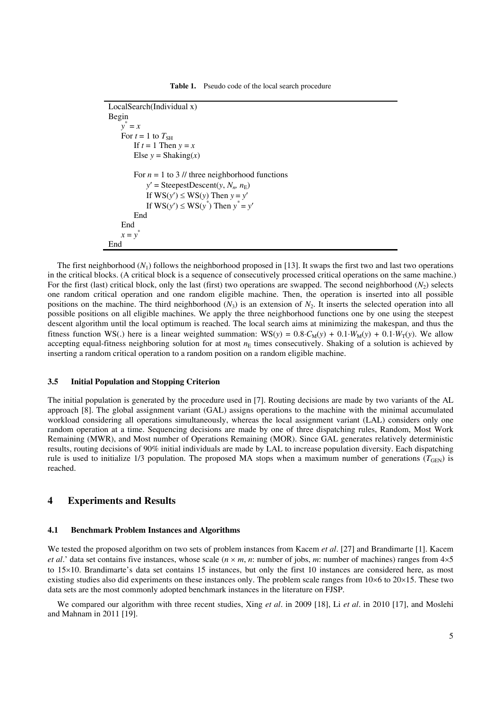```
LocalSearch(Individual x)
Begin
    y
*
= x
    For t = 1 to T_{\text{SH}}If t = 1 Then y = xElse v = \text{Shaking}(x)For n = 1 to 3 \text{/} three neighborhood functions
            y' = SteepestDescent(y, N_n, n_E)
            If WS(y') \leq WS(y) Then y = y'If WS(y') \leq WS(y^*) Then y^* = y'End
    End
    x = y^*End
```
The first neighborhood  $(N_1)$  follows the neighborhood proposed in [13]. It swaps the first two and last two operations in the critical blocks. (A critical block is a sequence of consecutively processed critical operations on the same machine.) For the first (last) critical block, only the last (first) two operations are swapped. The second neighborhood  $(N_2)$  selects one random critical operation and one random eligible machine. Then, the operation is inserted into all possible positions on the machine. The third neighborhood  $(N_3)$  is an extension of  $N_2$ . It inserts the selected operation into all possible positions on all eligible machines. We apply the three neighborhood functions one by one using the steepest descent algorithm until the local optimum is reached. The local search aims at minimizing the makespan, and thus the fitness function WS(.) here is a linear weighted summation: WS(*y*) =  $0.8 \cdot C_M(y) + 0.1 \cdot W_M(y) + 0.1 \cdot W_T(y)$ . We allow accepting equal-fitness neighboring solution for at most  $n<sub>E</sub>$  times consecutively. Shaking of a solution is achieved by inserting a random critical operation to a random position on a random eligible machine.

#### **3.5 Initial Population and Stopping Criterion**

The initial population is generated by the procedure used in [7]. Routing decisions are made by two variants of the AL approach [8]. The global assignment variant (GAL) assigns operations to the machine with the minimal accumulated workload considering all operations simultaneously, whereas the local assignment variant (LAL) considers only one random operation at a time. Sequencing decisions are made by one of three dispatching rules, Random, Most Work Remaining (MWR), and Most number of Operations Remaining (MOR). Since GAL generates relatively deterministic results, routing decisions of 90% initial individuals are made by LAL to increase population diversity. Each dispatching rule is used to initialize 1/3 population. The proposed MA stops when a maximum number of generations ( $T_{GEN}$ ) is reached.

### **4 Experiments and Results**

#### **4.1 Benchmark Problem Instances and Algorithms**

We tested the proposed algorithm on two sets of problem instances from Kacem *et al*. [27] and Brandimarte [1]. Kacem *et al.*' data set contains five instances, whose scale  $(n \times m, n)$ : number of jobs, *m*: number of machines) ranges from  $4 \times 5$ to  $15\times10$ . Brandimarte's data set contains 15 instances, but only the first 10 instances are considered here, as most existing studies also did experiments on these instances only. The problem scale ranges from  $10\times6$  to  $20\times15$ . These two data sets are the most commonly adopted benchmark instances in the literature on FJSP.

We compared our algorithm with three recent studies, Xing *et al*. in 2009 [18], Li *et al*. in 2010 [17], and Moslehi and Mahnam in 2011 [19].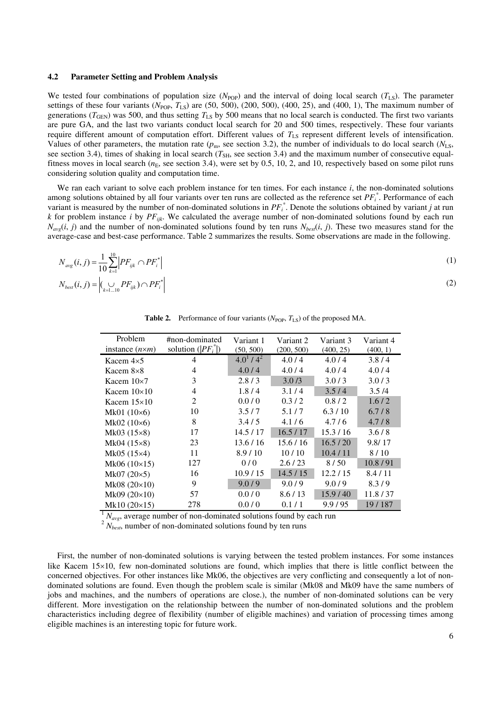#### **4.2 Parameter Setting and Problem Analysis**

We tested four combinations of population size  $(N_{POP})$  and the interval of doing local search  $(T_{LS})$ . The parameter settings of these four variants ( $N_{\text{POP}}, T_{\text{LS}}$ ) are (50, 500), (200, 500), (400, 25), and (400, 1), The maximum number of generations ( $T_{\text{GEN}}$ ) was 500, and thus setting  $T_{LS}$  by 500 means that no local search is conducted. The first two variants are pure GA, and the last two variants conduct local search for 20 and 500 times, respectively. These four variants require different amount of computation effort. Different values of  $T_{LS}$  represent different levels of intensification. Values of other parameters, the mutation rate  $(p_m)$ , see section 3.2), the number of individuals to do local search ( $N_{\rm LS}$ , see section 3.4), times of shaking in local search ( $T_{\rm SH}$ , see section 3.4) and the maximum number of consecutive equalfitness moves in local search  $(n<sub>E</sub>$ , see section 3.4), were set by 0.5, 10, 2, and 10, respectively based on some pilot runs considering solution quality and computation time.

We ran each variant to solve each problem instance for ten times. For each instance *i*, the non-dominated solutions among solutions obtained by all four variants over ten runs are collected as the reference set  $PF_i^*$ . Performance of each variant is measured by the number of non-dominated solutions in *PF<sup>i</sup>* \* . Denote the solutions obtained by variant *j* at run *k* for problem instance *i* by *PFijk*. We calculated the average number of non-dominated solutions found by each run  $N_{\text{avg}}(i, j)$  and the number of non-dominated solutions found by ten runs  $N_{\text{best}}(i, j)$ . These two measures stand for the average-case and best-case performance. Table 2 summarizes the results. Some observations are made in the following.

$$
N_{avg}(i, j) = \frac{1}{10} \sum_{k=1}^{10} \left| PF_{ijk} \cap PF_i^* \right|
$$
  
\n
$$
N_{best}(i, j) = \left| \bigcup_{k=1...10} PF_{ijk} \right| \cap PF_i^* \right|
$$
\n(1)

**Table 2.** Performance of four variants  $(N_{\text{POP}}, T_{LS})$  of the proposed MA.

| Problem<br>instance $(n \times m)$ | #non-dominated<br>solution $( PF_i^* )$ | Variant 1<br>(50, 500) | Variant 2<br>(200, 500) | Variant 3<br>(400, 25) | Variant 4<br>(400, 1) |
|------------------------------------|-----------------------------------------|------------------------|-------------------------|------------------------|-----------------------|
| Kacem $4\times5$                   | 4                                       | $4.0^{1}$ / $4^{2}$    | 4.0/4                   | 4.0/4                  | 3.8/4                 |
| Kacem $8\times8$                   | 4                                       | 4.0/4                  | 4.0/4                   | 4.0/4                  | 4.0/4                 |
| Kacem $10\times7$                  | 3                                       | 2.8/3                  | 3.0/3                   | 3.0/3                  | 3.0/3                 |
| Kacem $10\times10$                 | 4                                       | 1.8/4                  | 3.1/4                   | 3.5/4                  | 3.5/4                 |
| Kacem $15\times10$                 | 2                                       | 0.0/0                  | 0.3/2                   | 0.8/2                  | 1.6/2                 |
| Mk01 $(10\times6)$                 | 10                                      | 3.5/7                  | 5.1/7                   | 6.3/10                 | 6.7/8                 |
| $Mk02 (10\times6)$                 | 8                                       | 3.4/5                  | 4.1/6                   | 4.7/6                  | 4.7/8                 |
| $Mk03 (15 \times 8)$               | 17                                      | 14.5 / 17              | 16.5/17                 | 15.3/16                | 3.6/8                 |
| $Mk04 (15 \times 8)$               | 23                                      | 13.6/16                | 15.6/16                 | 16.5/20                | 9.8/17                |
| $Mk05(15\times4)$                  | 11                                      | 8.9/10                 | 10/10                   | 10.4/11                | 8/10                  |
| $Mk06 (10\times15)$                | 127                                     | 0/0                    | 2.6/23                  | 8/50                   | 10.8/91               |
| $Mk07 (20 \times 5)$               | 16                                      | 10.9/15                | 14.5/15                 | 12.2/15                | 8.4/11                |
| Mk08 $(20\times10)$                | 9                                       | 9.0/9                  | 9.0/9                   | 9.0/9                  | 8.3/9                 |
| Mk09 $(20\times10)$                | 57                                      | 0.0/0                  | 8.6/13                  | 15.9/40                | 11.8/37               |
| Mk10 $(20\times15)$                | 278                                     | 0.0/0                  | 0.1/1                   | 9.9/95                 | 19/187                |

 $1 N_{avg}$ , average number of non-dominated solutions found by each run

 $2 N_{best}$ , number of non-dominated solutions found by ten runs

First, the number of non-dominated solutions is varying between the tested problem instances. For some instances like Kacem  $15\times10$ , few non-dominated solutions are found, which implies that there is little conflict between the concerned objectives. For other instances like Mk06, the objectives are very conflicting and consequently a lot of nondominated solutions are found. Even though the problem scale is similar (Mk08 and Mk09 have the same numbers of jobs and machines, and the numbers of operations are close.), the number of non-dominated solutions can be very different. More investigation on the relationship between the number of non-dominated solutions and the problem characteristics including degree of flexibility (number of eligible machines) and variation of processing times among eligible machines is an interesting topic for future work.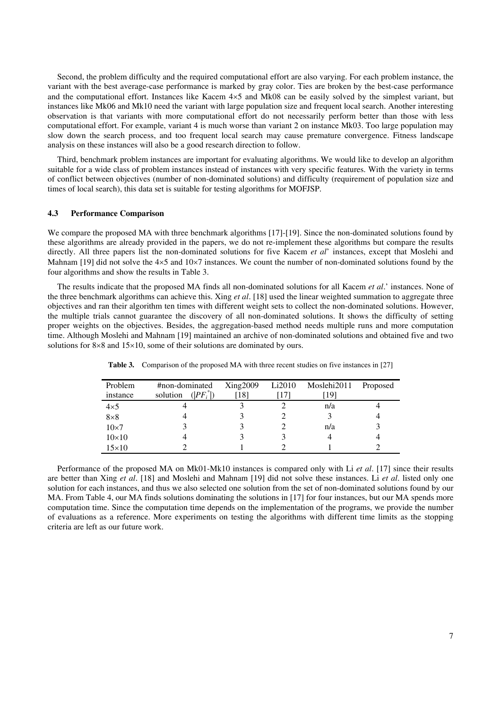Second, the problem difficulty and the required computational effort are also varying. For each problem instance, the variant with the best average-case performance is marked by gray color. Ties are broken by the best-case performance and the computational effort. Instances like Kacem  $4\times5$  and Mk08 can be easily solved by the simplest variant, but instances like Mk06 and Mk10 need the variant with large population size and frequent local search. Another interesting observation is that variants with more computational effort do not necessarily perform better than those with less computational effort. For example, variant 4 is much worse than variant 2 on instance Mk03. Too large population may slow down the search process, and too frequent local search may cause premature convergence. Fitness landscape analysis on these instances will also be a good research direction to follow.

Third, benchmark problem instances are important for evaluating algorithms. We would like to develop an algorithm suitable for a wide class of problem instances instead of instances with very specific features. With the variety in terms of conflict between objectives (number of non-dominated solutions) and difficulty (requirement of population size and times of local search), this data set is suitable for testing algorithms for MOFJSP.

### **4.3 Performance Comparison**

We compare the proposed MA with three benchmark algorithms [17]-[19]. Since the non-dominated solutions found by these algorithms are already provided in the papers, we do not re-implement these algorithms but compare the results directly. All three papers list the non-dominated solutions for five Kacem *et al*'instances, except that Moslehi and Mahnam [19] did not solve the  $4\times5$  and  $10\times7$  instances. We count the number of non-dominated solutions found by the four algorithms and show the results in Table 3.

The results indicate that the proposed MA finds all non-dominated solutions for all Kacem *et al*.'instances. None of the three benchmark algorithms can achieve this. Xing *et al*. [18] used the linear weighted summation to aggregate three objectives and ran their algorithm ten times with different weight sets to collect the non-dominated solutions. However, the multiple trials cannot guarantee the discovery of all non-dominated solutions. It shows the difficulty of setting proper weights on the objectives. Besides, the aggregation-based method needs multiple runs and more computation time. Although Moslehi and Mahnam [19] maintained an archive of non-dominated solutions and obtained five and two solutions for  $8\times 8$  and  $15\times 10$ , some of their solutions are dominated by ours.

| Problem<br>instance | #non-dominated<br>$( PF_i^* )$<br>solution | Xing2009<br>[18] | Li2010 | Moslehi2011<br>19 | Proposed |
|---------------------|--------------------------------------------|------------------|--------|-------------------|----------|
| $4\times5$          |                                            |                  |        | n/a               |          |
| $8\times8$          |                                            |                  |        |                   |          |
| $10\times7$         |                                            |                  |        | n/a               |          |
| $10\times10$        |                                            |                  |        |                   |          |
| $15\times10$        |                                            |                  |        |                   |          |

**Table 3.** Comparison of the proposed MA with three recent studies on five instances in [27]

Performance of the proposed MA on Mk01-Mk10 instances is compared only with Li *et al*. [17] since their results are better than Xing *et al*. [18] and Moslehi and Mahnam [19] did not solve these instances. Li *et al*. listed only one solution for each instances, and thus we also selected one solution from the set of non-dominated solutions found by our MA. From Table 4, our MA finds solutions dominating the solutions in [17] for four instances, but our MA spends more computation time. Since the computation time depends on the implementation of the programs, we provide the number of evaluations as a reference. More experiments on testing the algorithms with different time limits as the stopping criteria are left as our future work.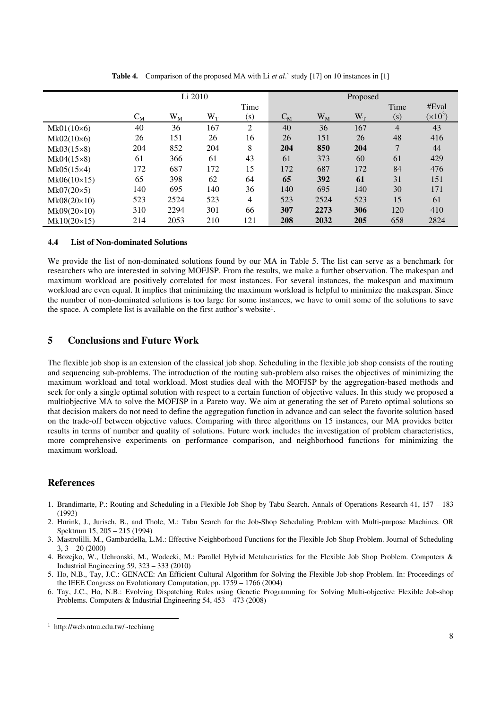|                    |       |       | Li 2010         |                   |       |           | Proposed        |                |           |
|--------------------|-------|-------|-----------------|-------------------|-------|-----------|-----------------|----------------|-----------|
|                    |       |       |                 | Time              |       |           |                 | Time           | #Eval     |
|                    | $C_M$ | $W_M$ | $\rm W_{\rm T}$ | $\left( s\right)$ | $C_M$ | $\rm W_M$ | $\rm W_{\rm T}$ | (s)            | $(x10^3)$ |
| $Mk01(10\times6)$  | 40    | 36    | 167             | 2                 | 40    | 36        | 167             | $\overline{4}$ | 43        |
| $Mk02(10\times6)$  | 26    | 151   | 26              | 16                | 26    | 151       | 26              | 48             | 416       |
| $Mk03(15\times8)$  | 204   | 852   | 204             | 8                 | 204   | 850       | 204             | $\overline{7}$ | 44        |
| $Mk04(15\times8)$  | 61    | 366   | 61              | 43                | 61    | 373       | 60              | 61             | 429       |
| $Mk05(15\times4)$  | 172   | 687   | 172             | 15                | 172   | 687       | 172             | 84             | 476       |
| $Mk06(10\times15)$ | 65    | 398   | 62              | 64                | 65    | 392       | 61              | 31             | 151       |
| $Mk07(20\times5)$  | 140   | 695   | 140             | 36                | 140   | 695       | 140             | 30             | 171       |
| $Mk08(20\times10)$ | 523   | 2524  | 523             | 4                 | 523   | 2524      | 523             | 15             | 61        |
| $Mk09(20\times10)$ | 310   | 2294  | 301             | 66                | 307   | 2273      | 306             | 120            | 410       |
| $Mk10(20\times15)$ | 214   | 2053  | 210             | 121               | 208   | 2032      | 205             | 658            | 2824      |

**Table 4.** Comparison of the proposed MA with Li *et al*.'study [17] on 10 instances in [1]

#### **4.4 List of Non-dominated Solutions**

We provide the list of non-dominated solutions found by our MA in Table 5. The list can serve as a benchmark for researchers who are interested in solving MOFJSP. From the results, we make a further observation. The makespan and maximum workload are positively correlated for most instances. For several instances, the makespan and maximum workload are even equal. It implies that minimizing the maximum workload is helpful to minimize the makespan. Since the number of non-dominated solutions is too large for some instances, we have to omit some of the solutions to save the space. A complete list is available on the first author's website<sup>1</sup>.

## **5 Conclusions and Future Work**

The flexible job shop is an extension of the classical job shop. Scheduling in the flexible job shop consists of the routing and sequencing sub-problems. The introduction of the routing sub-problem also raises the objectives of minimizing the maximum workload and total workload. Most studies deal with the MOFJSP by the aggregation-based methods and seek for only a single optimal solution with respect to a certain function of objective values. In this study we proposed a multiobjective MA to solve the MOFJSP in a Pareto way. We aim at generating the set of Pareto optimal solutions so that decision makers do not need to define the aggregation function in advance and can select the favorite solution based on the trade-off between objective values. Comparing with three algorithms on 15 instances, our MA provides better results in terms of number and quality of solutions. Future work includes the investigation of problem characteristics, more comprehensive experiments on performance comparison, and neighborhood functions for minimizing the maximum workload.

# **References**

- 1. Brandimarte, P.: Routing and Scheduling in a Flexible Job Shop by Tabu Search. Annals of Operations Research 41, 157 –183 (1993)
- 2. Hurink, J., Jurisch, B., and Thole, M.: Tabu Search for the Job-Shop Scheduling Problem with Multi-purpose Machines. OR Spektrum 15, 205 –215 (1994)
- 3. Mastrolilli, M., Gambardella, L.M.: Effective Neighborhood Functions for the Flexible Job Shop Problem. Journal of Scheduling  $3, 3 - 20 (2000)$
- 4. Bozejko, W., Uchronski, M., Wodecki, M.: Parallel Hybrid Metaheuristics for the Flexible Job Shop Problem. Computers & Industrial Engineering 59, 323 –333 (2010)
- 5. Ho, N.B., Tay, J.C.: GENACE: An Efficient Cultural Algorithm for Solving the Flexible Job-shop Problem. In: Proceedings of the IEEE Congress on Evolutionary Computation, pp. 1759 –1766 (2004)
- 6. Tay, J.C., Ho, N.B.: Evolving Dispatching Rules using Genetic Programming for Solving Multi-objective Flexible Job-shop Problems. Computers & Industrial Engineering 54, 453 –473 (2008)

<sup>1</sup> http://web.ntnu.edu.tw/~tcchiang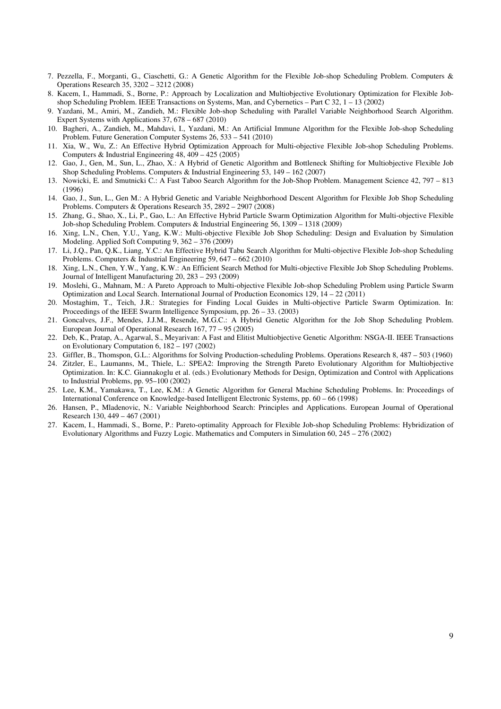- 7. Pezzella, F., Morganti, G., Ciaschetti, G.: A Genetic Algorithm for the Flexible Job-shop Scheduling Problem. Computers & Operations Research 35, 3202 –3212 (2008)
- 8. Kacem, I., Hammadi, S., Borne, P.: Approach by Localization and Multiobjective Evolutionary Optimization for Flexible Jobshop Scheduling Problem. IEEE Transactions on Systems, Man, and Cybernetics – Part C 32, 1 – 13 (2002)
- 9. Yazdani, M., Amiri, M., Zandieh, M.: Flexible Job-shop Scheduling with Parallel Variable Neighborhood Search Algorithm. Expert Systems with Applications 37, 678 –687 (2010)
- 10. Bagheri, A., Zandieh, M., Mahdavi, I., Yazdani, M.: An Artificial Immune Algorithm for the Flexible Job-shop Scheduling Problem. Future Generation Computer Systems 26, 533 – 541 (2010)
- 11. Xia, W., Wu, Z.: An Effective Hybrid Optimization Approach for Multi-objective Flexible Job-shop Scheduling Problems. Computers & Industrial Engineering  $48, 409 - 425$  (2005)
- 12. Gao, J., Gen, M., Sun, L., Zhao, X.: A Hybrid of Genetic Algorithm and Bottleneck Shifting for Multiobjective Flexible Job Shop Scheduling Problems. Computers & Industrial Engineering 53, 149 –162 (2007)
- 13. Nowicki, E. and Smutnicki C.: A Fast Taboo Search Algorithm for the Job-Shop Problem. Management Science 42, 797 –813 (1996)
- 14. Gao, J., Sun, L., Gen M.: A Hybrid Genetic and Variable Neighborhood Descent Algorithm for Flexible Job Shop Scheduling Problems. Computers & Operations Research 35, 2892 –2907 (2008)
- 15. Zhang, G., Shao, X., Li, P., Gao, L.: An Effective Hybrid Particle Swarm Optimization Algorithm for Multi-objective Flexible Job-shop Scheduling Problem. Computers & Industrial Engineering 56, 1309 –1318 (2009)
- 16. Xing, L.N., Chen, Y.U., Yang, K.W.: Multi-objective Flexible Job Shop Scheduling: Design and Evaluation by Simulation Modeling. Applied Soft Computing 9, 362 –376 (2009)
- 17. Li, J.Q., Pan, Q.K., Liang, Y.C.: An Effective Hybrid Tabu Search Algorithm for Multi-objective Flexible Job-shop Scheduling Problems. Computers & Industrial Engineering 59, 647 – 662 (2010)
- 18. Xing, L.N., Chen, Y.W., Yang, K.W.: An Efficient Search Method for Multi-objective Flexible Job Shop Scheduling Problems. Journal of Intelligent Manufacturing 20, 283 –293 (2009)
- 19. Moslehi, G., Mahnam, M.: A Pareto Approach to Multi-objective Flexible Job-shop Scheduling Problem using Particle Swarm Optimization and Local Search. International Journal of Production Economics 129, 14 –22 (2011)
- 20. Mostaghim, T., Teich, J.R.: Strategies for Finding Local Guides in Multi-objective Particle Swarm Optimization. In: Proceedings of the IEEE Swarm Intelligence Symposium, pp. 26 –33. (2003)
- 21. Goncalves, J.F., Mendes, J.J.M., Resende, M.G.C.: A Hybrid Genetic Algorithm for the Job Shop Scheduling Problem. European Journal of Operational Research 167, 77 –95 (2005)
- 22. Deb, K., Pratap, A., Agarwal, S., Meyarivan: A Fast and Elitist Multiobjective Genetic Algorithm: NSGA-II. IEEE Transactions on Evolutionary Computation 6, 182 –197 (2002)
- 23. Giffler, B., Thomspon, G.L.: Algorithms for Solving Production-scheduling Problems. Operations Research 8, 487 –503 (1960)
- 24. Zitzler, E., Laumanns, M., Thiele, L.: SPEA2: Improving the Strength Pareto Evolutionary Algorithm for Multiobjective Optimization. In: K.C. Giannakoglu et al. (eds.) Evolutionary Methods for Design, Optimization and Control with Applications to Industrial Problems, pp. 95–100 (2002)
- 25. Lee, K.M., Yamakawa, T., Lee, K.M.: A Genetic Algorithm for General Machine Scheduling Problems. In: Proceedings of International Conference on Knowledge-based Intelligent Electronic Systems, pp. 60 –66 (1998)
- 26. Hansen, P., Mladenovic, N.: Variable Neighborhood Search: Principles and Applications. European Journal of Operational Research 130, 449 – 467 (2001)
- 27. Kacem, I., Hammadi, S., Borne, P.: Pareto-optimality Approach for Flexible Job-shop Scheduling Problems: Hybridization of Evolutionary Algorithms and Fuzzy Logic. Mathematics and Computers in Simulation 60, 245 –276 (2002)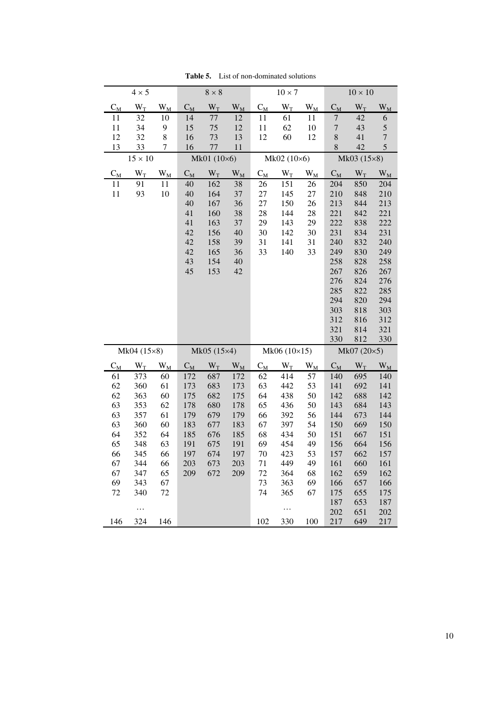|                  | $4 \times 5$          |                     |       | $8\times8$  |                  |                     | $10\times7$  |                  |                | $10\times10$ |                  |
|------------------|-----------------------|---------------------|-------|-------------|------------------|---------------------|--------------|------------------|----------------|--------------|------------------|
| $\mathrm{C_{M}}$ | $\mathbf{W}_\text{T}$ | $W_{\underline{M}}$ | $C_M$ | $W_T$       | $\overline{W_M}$ | $C_M$               | $W_T$        | $\mathrm{W_{M}}$ | $C_M$          | $W_T$        | $W_M$            |
| 11               | 32                    | 10                  | 14    | 77          | 12               | 11                  | 61           | 11               | $\overline{7}$ | 42           | 6                |
| 11               | 34                    | 9                   | 15    | 75          | 12               | 11                  | 62           | $10\,$           | $\sqrt{ }$     | 43           | 5                |
| 12               | 32                    | 8                   | 16    | 73          | 13               | 12                  | 60           | 12               | 8              | 41           | $\overline{7}$   |
| 13               | 33                    | 7                   | 16    | 77          | 11               |                     |              |                  | $8\,$          | 42           | 5                |
|                  | $15 \times 10$        |                     |       | Mk01 (10×6) |                  | Mk02 (10×6)         |              |                  | Mk03 (15×8)    |              |                  |
| $C_M$            | $W_T$                 | $\mathrm{W_{M}}$    | $C_M$ | $W_T$       | $\rm W_M$        | $C_M$               | $W_T$        | $W_M$            | $C_M$          | $W_T$        | $W_{\rm M}$      |
| 11               | 91                    | 11                  | 40    | 162         | 38               | 26                  | 151          | 26               | 204            | 850          | 204              |
| 11               | 93                    | 10                  | 40    | 164         | 37               | 27                  | 145          | 27               | 210            | 848          | 210              |
|                  |                       |                     | 40    | 167         | 36               | 27                  | 150          | 26               | 213            | 844          | 213              |
|                  |                       |                     | 41    | 160         | 38               | 28                  | 144          | 28               | 221            | 842          | 221              |
|                  |                       |                     | 41    | 163         | 37               | 29                  | 143          | 29               | 222            | 838          | 222              |
|                  |                       |                     | 42    | 156         | 40               | 30                  | 142          | 30               | 231            | 834          | 231              |
|                  |                       |                     | 42    | 158         | 39               | 31                  | 141          | 31               | 240            | 832          | 240              |
|                  |                       |                     | 42    | 165         | 36               | 33                  | 140          | 33               | 249            | 830          | 249              |
|                  |                       |                     | 43    | 154         | 40               |                     |              |                  | 258            | 828          | 258              |
|                  |                       |                     | 45    | 153         | 42               |                     |              |                  | 267<br>276     | 826          | 267              |
|                  |                       |                     |       |             |                  |                     |              |                  | 285            | 824<br>822   | 276<br>285       |
|                  |                       |                     |       |             |                  |                     |              |                  | 294            | 820          | 294              |
|                  |                       |                     |       |             |                  |                     |              |                  | 303            | 818          | 303              |
|                  |                       |                     |       |             |                  |                     |              |                  | 312            | 816          | 312              |
|                  |                       |                     |       |             |                  |                     |              |                  | 321            | 814          | 321              |
|                  |                       |                     |       |             |                  |                     |              |                  | 330            | 812          | 330              |
|                  | Mk04 (15×8)           |                     |       | Mk05 (15×4) |                  |                     | Mk06 (10×15) |                  |                | Mk07 (20×5)  |                  |
| $C_M$            | $W_T$                 | $\rm W_M$           | $C_M$ | $W_T$       | $W_{\text{M}}$   | $C_{\underline{M}}$ | $W_T$        | $W_{M}$          | $C_M$          | $W_T$        | $\mathrm{W_{M}}$ |
| 61               | 373                   | 60                  | 172   | 687         | 172              | 62                  | 414          | 57               | 140            | 695          | 140              |
| 62               | 360                   | 61                  | 173   | 683         | 173              | 63                  | 442          | 53               | 141            | 692          | 141              |
| 62               | 363                   | 60                  | 175   | 682         | 175              | 64                  | 438          | 50               | 142            | 688          | 142              |
| 63               | 353                   | 62                  | 178   | 680         | 178              | 65                  | 436          | 50               | 143            | 684          | 143              |
| 63               | 357                   | 61                  | 179   | 679         | 179              | 66                  | 392          | 56               | 144            | 673          | 144              |
| 63               | 360                   | 60                  | 183   | 677         | 183              | 67                  | 397          | 54               | 150            | 669          | 150              |
| 64               | 352                   | 64                  | 185   | 676         | 185              | 68                  | 434          | 50               | 151            | 667          | 151              |
| 65               | 348                   | 63                  | 191   | 675         | 191              | 69                  | 454          | 49               | 156            | 664          | 156              |
| 66               | 345                   | 66                  | 197   | 674         | 197              | 70                  | 423          | 53               | 157            | 662          | 157              |
| 67               | 344                   | 66                  | 203   | 673         | 203              | 71                  | 449          | 49               | 161            | 660          | 161              |
| 67               | 347                   | 65                  | 209   | 672         | 209              | 72                  | 364          | 68               | 162            | 659          | 162              |
| 69               | 343                   | 67                  |       |             |                  | 73                  | 363          | 69               | 166            | 657          | 166              |
| 72               | 340                   | 72                  |       |             |                  | 74                  | 365          | 67               | 175            | 655          | 175              |
|                  |                       |                     |       |             |                  |                     |              |                  | 187            | 653          | 187              |
|                  | $\cdots$              |                     |       |             |                  |                     | .            |                  | 202            | 651          | 202              |
| 146              | 324                   | 146                 |       |             |                  | 102                 | 330          | 100              | 217            | 649          | 217              |

**Table 5.** List of non-dominated solutions